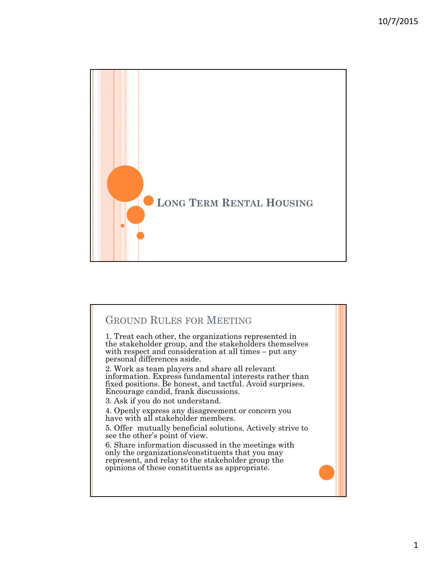

## GROUND RULES FOR MEETING

1. Treat each other, the organizations represented in the stakeholder group, and the stakeholders themselves with respect and consideration at all times – put any personal differences aside.

2. Work as team players and share all relevant information. Express fundamental interests rather than fixed positions. Be honest, and tactful. Avoid surprises. Encourage candid, frank discussions.

3. Ask if you do not understand.

4. Openly express any disagreement or concern you have with all stakeholder members.

5. Offer mutually beneficial solutions. Actively strive to see the other's point of view.

6. Share information discussed in the meetings with only the organizations/constituents that you may represent, and relay to the stakeholder group the opinions of these constituents as appropriate.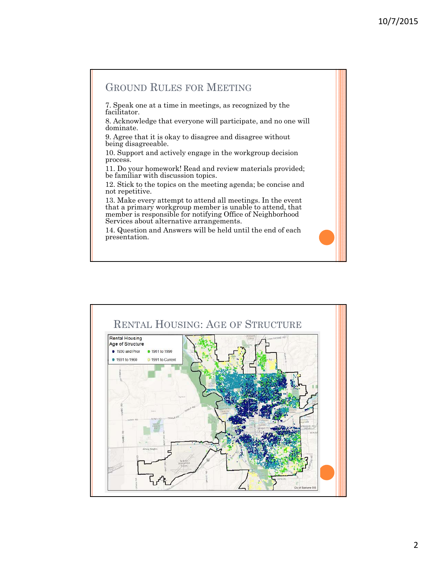## GROUND RULES FOR MEETING

7. Speak one at a time in meetings, as recognized by the facilitator.

8. Acknowledge that everyone will participate, and no one will dominate.

9. Agree that it is okay to disagree and disagree without being disagreeable.

10. Support and actively engage in the workgroup decision process.

11. Do your homework! Read and review materials provided; be familiar with discussion topics.

12. Stick to the topics on the meeting agenda; be concise and not repetitive.

13. Make every attempt to attend all meetings. In the event that a primary workgroup member is unable to attend, that member is responsible for notifying Office of Neighborhood Services about alternative arrangements.

14. Question and Answers will be held until the end of each presentation.

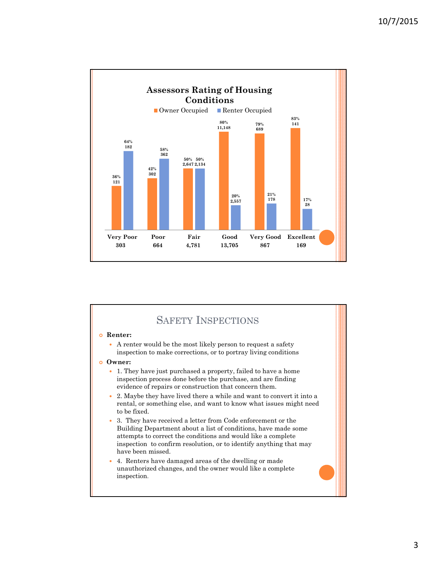

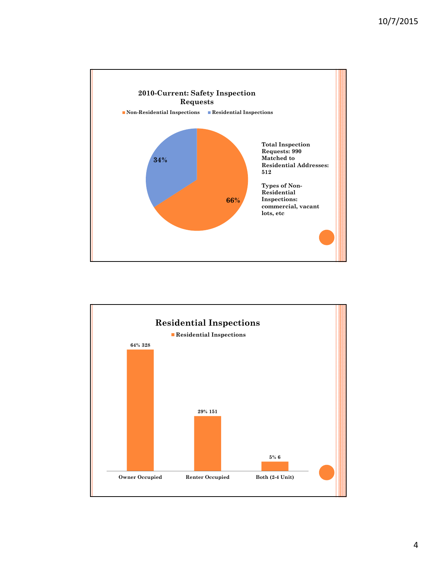

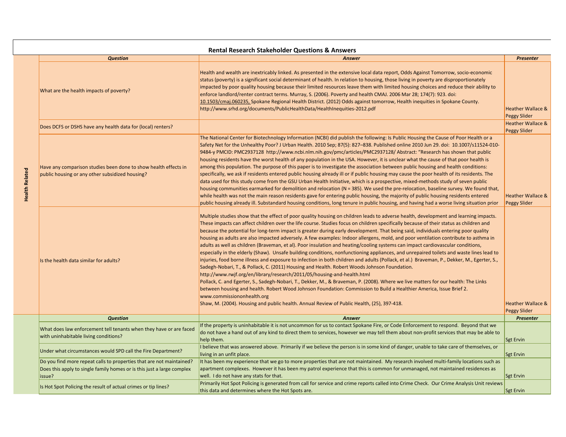|                       | <b>Question</b>                                                                                                    | <b>Answer</b>                                                                                                                                                                                                                                                                                                                                                                                                                                                                                                                                                                                                                                                                                                                                                                                                                                                                                                                                                                                                                                                                                                                                                                                                                                                                                                                                                                                                                                                                                                                                                | Presenter                                           |
|-----------------------|--------------------------------------------------------------------------------------------------------------------|--------------------------------------------------------------------------------------------------------------------------------------------------------------------------------------------------------------------------------------------------------------------------------------------------------------------------------------------------------------------------------------------------------------------------------------------------------------------------------------------------------------------------------------------------------------------------------------------------------------------------------------------------------------------------------------------------------------------------------------------------------------------------------------------------------------------------------------------------------------------------------------------------------------------------------------------------------------------------------------------------------------------------------------------------------------------------------------------------------------------------------------------------------------------------------------------------------------------------------------------------------------------------------------------------------------------------------------------------------------------------------------------------------------------------------------------------------------------------------------------------------------------------------------------------------------|-----------------------------------------------------|
|                       | What are the health impacts of poverty?                                                                            | Health and wealth are inextricably linked. As presented in the extensive local data report, Odds Against Tomorrow, socio-economic<br>status (poverty) is a significant social determinant of health. In relation to housing, those living in poverty are disproportionately<br>impacted by poor quality housing because their limited resources leave them with limited housing choices and reduce their ability to<br>enforce landlord/renter contract terms. Murray, S. (2006). Poverty and health CMAJ. 2006 Mar 28; 174(7): 923. doi:<br>10.1503/cmaj.060235, Spokane Regional Health District. (2012) Odds against tomorrow, Health inequities in Spokane County.<br>http://www.srhd.org/documents/PublicHealthData/HealthInequities-2012.pdf                                                                                                                                                                                                                                                                                                                                                                                                                                                                                                                                                                                                                                                                                                                                                                                                           | <b>Heather Wallace &amp;</b><br>Peggy Slider        |
|                       | Does DCFS or DSHS have any health data for (local) renters?                                                        |                                                                                                                                                                                                                                                                                                                                                                                                                                                                                                                                                                                                                                                                                                                                                                                                                                                                                                                                                                                                                                                                                                                                                                                                                                                                                                                                                                                                                                                                                                                                                              | <b>Heather Wallace &amp;</b><br>Peggy Slider        |
| <b>Health Related</b> | Have any comparison studies been done to show health effects in<br>public housing or any other subsidized housing? | The National Center for Biotechnology Information (NCBI) did publish the following: Is Public Housing the Cause of Poor Health or a<br>Safety Net for the Unhealthy Poor? J Urban Health. 2010 Sep; 87(5): 827–838. Published online 2010 Jun 29. doi: 10.1007/s11524-010-<br>9484-y PMCID: PMC2937128 http://www.ncbi.nlm.nih.gov/pmc/articles/PMC2937128/Abstract: "Research has shown that public<br>housing residents have the worst health of any population in the USA. However, it is unclear what the cause of that poor health is<br>among this population. The purpose of this paper is to investigate the association between public housing and health conditions:<br>specifically, we ask if residents entered public housing already ill or if public housing may cause the poor health of its residents. The<br>data used for this study come from the GSU Urban Health Initiative, which is a prospective, mixed-methods study of seven public<br>housing communities earmarked for demolition and relocation (N = 385). We used the pre-relocation, baseline survey. We found that,<br>while health was not the main reason residents gave for entering public housing, the majority of public housing residents entered<br>public housing already ill. Substandard housing conditions, long tenure in public housing, and having had a worse living situation prior                                                                                                                                                                        | <b>Heather Wallace &amp;</b><br>Peggy Slider        |
|                       | Is the health data similar for adults?                                                                             | Multiple studies show that the effect of poor quality housing on children leads to adverse health, development and learning impacts.<br>These impacts can affect children over the life course. Studies focus on children specifically because of their status as children and<br>because the potential for long-term impact is greater during early development. That being said, individuals entering poor quality<br>housing as adults are also impacted adversely. A few examples: Indoor allergens, mold, and poor ventilation contribute to asthma in<br>adults as well as children (Braveman, et al). Poor insulation and heating/cooling systems can impact cardiovascular conditions,<br>especially in the elderly (Shaw). Unsafe building conditions, nonfunctioning appliances, and unrepaired toilets and waste lines lead to<br>injuries, food borne illness and exposure to infection in both children and adults (Pollack, et al.) Braveman, P., Dekker, M., Egerter, S.,<br>Sadegh-Nobari, T., & Pollack, C. (2011) Housing and Health. Robert Woods Johnson Foundation.<br>http://www.rwjf.org/en/library/research/2011/05/housing-and-health.html<br>Pollack, C. and Egerter, S., Sadegh-Nobari, T., Dekker, M., & Braveman, P. (2008). Where we live matters for our health: The Links<br>between housing and health. Robert Wood Johnson Foundation: Commission to Build a Healthier America, Issue Brief 2.<br>www.commissiononhealth.org<br>Shaw, M. (2004). Housing and public health. Annual Review of Public Health, (25), 397-418. | <b>Heather Wallace &amp;</b><br><b>Peggy Slider</b> |
|                       | <b>Question</b>                                                                                                    | Answer                                                                                                                                                                                                                                                                                                                                                                                                                                                                                                                                                                                                                                                                                                                                                                                                                                                                                                                                                                                                                                                                                                                                                                                                                                                                                                                                                                                                                                                                                                                                                       | <b>Presenter</b>                                    |
|                       |                                                                                                                    | If the property is uninhabitable it is not uncommon for us to contact Spokane Fire, or Code Enforcement to respond. Beyond that we                                                                                                                                                                                                                                                                                                                                                                                                                                                                                                                                                                                                                                                                                                                                                                                                                                                                                                                                                                                                                                                                                                                                                                                                                                                                                                                                                                                                                           |                                                     |
|                       | What does law enforcement tell tenants when they have or are faced<br>with uninhabitable living conditions?        | do not have a hand out of any kind to direct them to services, however we may tell them about non-profit services that may be able to<br>help them.                                                                                                                                                                                                                                                                                                                                                                                                                                                                                                                                                                                                                                                                                                                                                                                                                                                                                                                                                                                                                                                                                                                                                                                                                                                                                                                                                                                                          | <b>Sgt Ervin</b>                                    |
|                       | Under what circumstances would SPD call the Fire Department?                                                       | I believe that was answered above. Primarily if we believe the person is in some kind of danger, unable to take care of themselves, or<br>living in an unfit place.                                                                                                                                                                                                                                                                                                                                                                                                                                                                                                                                                                                                                                                                                                                                                                                                                                                                                                                                                                                                                                                                                                                                                                                                                                                                                                                                                                                          | <b>Sgt Ervin</b>                                    |
|                       | Does this apply to single family homes or is this just a large complex<br>issue?                                   | apartment complexes. However it has been my patrol experience that this is common for unmanaged, not maintained residences as<br>well. I do not have any stats for that.                                                                                                                                                                                                                                                                                                                                                                                                                                                                                                                                                                                                                                                                                                                                                                                                                                                                                                                                                                                                                                                                                                                                                                                                                                                                                                                                                                                     | <b>Sgt Ervin</b>                                    |
|                       | Is Hot Spot Policing the result of actual crimes or tip lines?                                                     | this data and determines where the Hot Spots are.                                                                                                                                                                                                                                                                                                                                                                                                                                                                                                                                                                                                                                                                                                                                                                                                                                                                                                                                                                                                                                                                                                                                                                                                                                                                                                                                                                                                                                                                                                            | Sgt Ervin                                           |
|                       |                                                                                                                    |                                                                                                                                                                                                                                                                                                                                                                                                                                                                                                                                                                                                                                                                                                                                                                                                                                                                                                                                                                                                                                                                                                                                                                                                                                                                                                                                                                                                                                                                                                                                                              |                                                     |
|                       | Do you find more repeat calls to properties that are not maintained?                                               | It has been my experience that we go to more properties that are not maintained. My research involved multi-family locations such as<br>Primarily Hot Spot Policing is generated from call for service and crime reports called into Crime Check. Our Crime Analysis Unit reviews                                                                                                                                                                                                                                                                                                                                                                                                                                                                                                                                                                                                                                                                                                                                                                                                                                                                                                                                                                                                                                                                                                                                                                                                                                                                            |                                                     |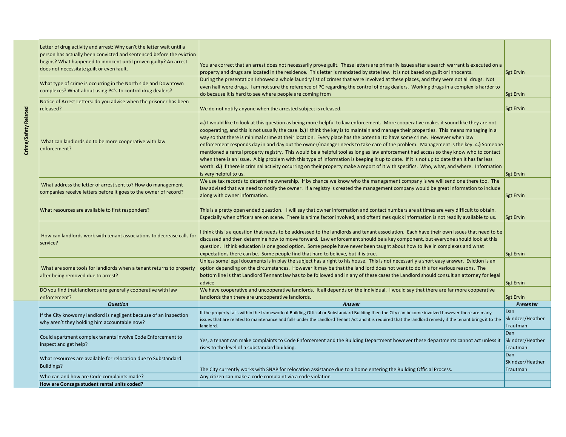| Letter of drug activity and arrest: Why can't the letter wait until a<br>person has actually been convicted and sentenced before the eviction |                                                                                                                                                                                                                                                                                                                                                                                                                                                                                                                                                                                                                                                                                                                                                                                                                                                                                                                                                                                                                  |                                     |
|-----------------------------------------------------------------------------------------------------------------------------------------------|------------------------------------------------------------------------------------------------------------------------------------------------------------------------------------------------------------------------------------------------------------------------------------------------------------------------------------------------------------------------------------------------------------------------------------------------------------------------------------------------------------------------------------------------------------------------------------------------------------------------------------------------------------------------------------------------------------------------------------------------------------------------------------------------------------------------------------------------------------------------------------------------------------------------------------------------------------------------------------------------------------------|-------------------------------------|
| begins? What happened to innocent until proven guilty? An arrest<br>does not necessitate guilt or even fault.                                 | You are correct that an arrest does not necessarily prove guilt. These letters are primarily issues after a search warrant is executed on a<br>property and drugs are located in the residence. This letter is mandated by state law. It is not based on guilt or innocents.                                                                                                                                                                                                                                                                                                                                                                                                                                                                                                                                                                                                                                                                                                                                     | <b>Sgt Ervin</b>                    |
| What type of crime is occurring in the North side and Downtown<br>complexes? What about using PC's to control drug dealers?                   | During the presentation I showed a whole laundry list of crimes that were involved at these places, and they were not all drugs. Not<br>even half were drugs. I am not sure the reference of PC regarding the control of drug dealers. Working drugs in a complex is harder to                                                                                                                                                                                                                                                                                                                                                                                                                                                                                                                                                                                                                                                                                                                                   |                                     |
| Notice of Arrest Letters: do you advise when the prisoner has been                                                                            | do because it is hard to see where people are coming from                                                                                                                                                                                                                                                                                                                                                                                                                                                                                                                                                                                                                                                                                                                                                                                                                                                                                                                                                        | <b>Sgt Ervin</b>                    |
| released?                                                                                                                                     | We do not notify anyone when the arrested subject is released.                                                                                                                                                                                                                                                                                                                                                                                                                                                                                                                                                                                                                                                                                                                                                                                                                                                                                                                                                   | <b>Sgt Ervin</b>                    |
| What can landlords do to be more cooperative with law<br>enforcement?                                                                         | a.) I would like to look at this question as being more helpful to law enforcement. More cooperative makes it sound like they are not<br>cooperating, and this is not usually the case. b.) I think the key is to maintain and manage their properties. This means managing in a<br>way so that there is minimal crime at their location. Every place has the potential to have some crime. However when law<br>enforcement responds day in and day out the owner/manager needs to take care of the problem. Management is the key. $c$ .) Someone<br>mentioned a rental property registry. This would be a helpful tool as long as law enforcement had access so they know who to contact<br>when there is an issue. A big problem with this type of information is keeping it up to date. If it is not up to date then it has far less<br>worth. d.) If there is criminal activity occurring on their property make a report of it with specifics. Who, what, and where. Information<br>is very helpful to us. | <b>Sgt Ervin</b>                    |
| What address the letter of arrest sent to? How do management<br>companies receive letters before it goes to the owner of record?              | We use tax records to determine ownership. If by chance we know who the management company is we will send one there too. The<br>law advised that we need to notify the owner. If a registry is created the management company would be great information to include<br>along with owner information.                                                                                                                                                                                                                                                                                                                                                                                                                                                                                                                                                                                                                                                                                                            | <b>Sgt Ervin</b>                    |
| What resources are available to first responders?                                                                                             | This is a pretty open ended question. I will say that owner information and contact numbers are at times are very difficult to obtain.<br>Especially when officers are on scene. There is a time factor involved, and oftentimes quick information is not readily available to us.                                                                                                                                                                                                                                                                                                                                                                                                                                                                                                                                                                                                                                                                                                                               | <b>Sgt Ervin</b>                    |
| How can landlords work with tenant associations to decrease calls for<br>service?                                                             | think this is a question that needs to be addressed to the landlords and tenant association. Each have their own issues that need to be<br>discussed and then determine how to move forward. Law enforcement should be a key component, but everyone should look at this<br>question. I think education is one good option. Some people have never been taught about how to live in complexes and what<br>expectations there can be. Some people find that hard to believe, but it is true.                                                                                                                                                                                                                                                                                                                                                                                                                                                                                                                      | <b>Sgt Ervin</b>                    |
| What are some tools for landlords when a tenant returns to property<br>after being removed due to arrest?                                     | Unless some legal documents is in play the subject has a right to his house. This is not necessarily a short easy answer. Eviction is an<br>option depending on the circumstances. However it may be that the land lord does not want to do this for various reasons. The<br>bottom line is that Landlord Tennant law has to be followed and in any of these cases the Landlord should consult an attorney for legal<br>advice                                                                                                                                                                                                                                                                                                                                                                                                                                                                                                                                                                                   | <b>Sgt Ervin</b>                    |
| DO you find that landlords are generally cooperative with law                                                                                 | We have cooperative and uncooperative landlords. It all depends on the individual. I would say that there are far more cooperative                                                                                                                                                                                                                                                                                                                                                                                                                                                                                                                                                                                                                                                                                                                                                                                                                                                                               |                                     |
| enforcement?                                                                                                                                  | landlords than there are uncooperative landlords.                                                                                                                                                                                                                                                                                                                                                                                                                                                                                                                                                                                                                                                                                                                                                                                                                                                                                                                                                                | <b>Sgt Ervin</b>                    |
| <b>Question</b>                                                                                                                               | <b>Answer</b>                                                                                                                                                                                                                                                                                                                                                                                                                                                                                                                                                                                                                                                                                                                                                                                                                                                                                                                                                                                                    | <b>Presenter</b>                    |
| If the City knows my landlord is negligent because of an inspection<br>why aren't they holding him accountable now?                           | If the property falls within the framework of Building Official or Substandard Building then the City can become involved however there are many<br>issues that are related to maintenance and falls under the Landlord Tenant Act and it is required that the landlord remedy if the tenant brings it to the<br>landlord.                                                                                                                                                                                                                                                                                                                                                                                                                                                                                                                                                                                                                                                                                       | Dan<br>Skindzer/Heather<br>Trautman |
| Could apartment complex tenants involve Code Enforcement to<br>inspect and get help?                                                          | Yes, a tenant can make complaints to Code Enforcement and the Building Department however these departments cannot act unless it<br>rises to the level of a substandard building.                                                                                                                                                                                                                                                                                                                                                                                                                                                                                                                                                                                                                                                                                                                                                                                                                                | Dan<br>Skindzer/Heather<br>Trautman |
| What resources are available for relocation due to Substandard<br>Buildings?                                                                  | The City currently works with SNAP for relocation assistance due to a home entering the Building Official Process.                                                                                                                                                                                                                                                                                                                                                                                                                                                                                                                                                                                                                                                                                                                                                                                                                                                                                               | Dan<br>Skindzer/Heather<br>Trautman |
| Who can and how are Code complaints made?                                                                                                     | Any citizen can make a code complaint via a code violation                                                                                                                                                                                                                                                                                                                                                                                                                                                                                                                                                                                                                                                                                                                                                                                                                                                                                                                                                       |                                     |
| How are Gonzaga student rental units coded?                                                                                                   |                                                                                                                                                                                                                                                                                                                                                                                                                                                                                                                                                                                                                                                                                                                                                                                                                                                                                                                                                                                                                  |                                     |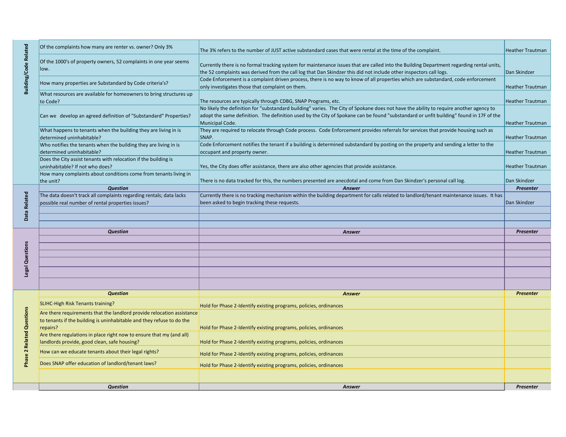|                              | Of the complaints how many are renter vs. owner? Only 3%                                                             | The 3% refers to the number of JUST active substandard cases that were rental at the time of the complaint.                                                                                                                                                                                         |                         |  |  |  |
|------------------------------|----------------------------------------------------------------------------------------------------------------------|-----------------------------------------------------------------------------------------------------------------------------------------------------------------------------------------------------------------------------------------------------------------------------------------------------|-------------------------|--|--|--|
| <b>Building/Code Related</b> | Of the 1000's of property owners, 52 complaints in one year seems<br>llow.                                           | Currently there is no formal tracking system for maintenance issues that are called into the Building Department regarding rental units,<br>the 52 complaints was derived from the call log that Dan Skindzer this did not include other inspectors call logs.                                      | Dan Skindzer            |  |  |  |
|                              | How many properties are Substandard by Code criteria's?                                                              | Code Enforcement is a complaint driven process, there is no way to know of all properties which are substandard, code enforcement<br>only investigates those that complaint on them.                                                                                                                | <b>Heather Trautman</b> |  |  |  |
|                              | What resources are available for homeowners to bring structures up<br>to Code?                                       | The resources are typically through CDBG, SNAP Programs, etc.                                                                                                                                                                                                                                       | <b>Heather Trautman</b> |  |  |  |
|                              | Can we develop an agreed definition of "Substandard" Properties?                                                     | No likely the definition for "substandard building" varies. The City of Spokane does not have the ability to require another agency to<br>adopt the same definition. The definition used by the City of Spokane can be found "substandard or unfit building" found in 17F of the<br>Municipal Code. | <b>Heather Trautman</b> |  |  |  |
|                              | What happens to tenants when the building they are living in is<br>determined uninhabitable?                         | They are required to relocate through Code process. Code Enforcement provides referrals for services that provide housing such as<br>SNAP.                                                                                                                                                          | <b>Heather Trautman</b> |  |  |  |
|                              | Who notifies the tenants when the building they are living in is<br>determined uninhabitable?                        | Code Enforcement notifies the tenant if a building is determined substandard by posting on the property and sending a letter to the<br>occupant and property owner.                                                                                                                                 | <b>Heather Trautman</b> |  |  |  |
|                              | Does the City assist tenants with relocation if the building is<br>uninhabitable? If not who does?                   | Yes, the City does offer assistance, there are also other agencies that provide assistance.                                                                                                                                                                                                         | <b>Heather Trautman</b> |  |  |  |
|                              | How many complaints about conditions come from tenants living in<br>the unit?                                        | There is no data tracked for this, the numbers presented are anecdotal and come from Dan Skindzer's personal call log.                                                                                                                                                                              | Dan Skindzer            |  |  |  |
|                              | <b>Question</b>                                                                                                      | <b>Answer</b>                                                                                                                                                                                                                                                                                       | Presenter               |  |  |  |
|                              | The data doesn't track all complaints regarding rentals; data lacks                                                  | Currently there is no tracking mechanism within the building department for calls related to landlord/tenant maintenance issues. It has                                                                                                                                                             |                         |  |  |  |
| Data Related                 | possible real number of rental properties issues?                                                                    | been asked to begin tracking these requests.                                                                                                                                                                                                                                                        | Dan Skindzer            |  |  |  |
|                              |                                                                                                                      |                                                                                                                                                                                                                                                                                                     |                         |  |  |  |
|                              |                                                                                                                      |                                                                                                                                                                                                                                                                                                     |                         |  |  |  |
|                              | <b>Question</b>                                                                                                      | Answer                                                                                                                                                                                                                                                                                              | Presenter               |  |  |  |
|                              |                                                                                                                      |                                                                                                                                                                                                                                                                                                     |                         |  |  |  |
|                              |                                                                                                                      |                                                                                                                                                                                                                                                                                                     |                         |  |  |  |
|                              |                                                                                                                      |                                                                                                                                                                                                                                                                                                     |                         |  |  |  |
|                              |                                                                                                                      |                                                                                                                                                                                                                                                                                                     |                         |  |  |  |
|                              |                                                                                                                      |                                                                                                                                                                                                                                                                                                     |                         |  |  |  |
|                              |                                                                                                                      |                                                                                                                                                                                                                                                                                                     |                         |  |  |  |
| Legal Questions              |                                                                                                                      |                                                                                                                                                                                                                                                                                                     |                         |  |  |  |
|                              | <b>Question</b>                                                                                                      | <b>Answer</b>                                                                                                                                                                                                                                                                                       | <b>Presenter</b>        |  |  |  |
|                              | <b>SLIHC-High Risk Tenants training?</b>                                                                             | Hold for Phase 2-Identify existing programs, policies, ordinances                                                                                                                                                                                                                                   |                         |  |  |  |
|                              | Are there requirements that the landlord provide relocation assistance                                               |                                                                                                                                                                                                                                                                                                     |                         |  |  |  |
| Questions                    | to tenants if the building is uninhabitable and they refuse to do the<br>repairs?                                    | Hold for Phase 2-Identify existing programs, policies, ordinances                                                                                                                                                                                                                                   |                         |  |  |  |
|                              | Are there regulations in place right now to ensure that my (and all)<br>landlords provide, good clean, safe housing? | Hold for Phase 2-Identify existing programs, policies, ordinances                                                                                                                                                                                                                                   |                         |  |  |  |
|                              | How can we educate tenants about their legal rights?                                                                 | Hold for Phase 2-Identify existing programs, policies, ordinances                                                                                                                                                                                                                                   |                         |  |  |  |
|                              | Does SNAP offer education of landlord/tenant laws?                                                                   | Hold for Phase 2-Identify existing programs, policies, ordinances                                                                                                                                                                                                                                   |                         |  |  |  |
|                              |                                                                                                                      |                                                                                                                                                                                                                                                                                                     |                         |  |  |  |
|                              | <b>Question</b>                                                                                                      | Answer                                                                                                                                                                                                                                                                                              | Presenter               |  |  |  |
| Related<br><b>Bhai</b>       |                                                                                                                      |                                                                                                                                                                                                                                                                                                     |                         |  |  |  |
|                              |                                                                                                                      |                                                                                                                                                                                                                                                                                                     |                         |  |  |  |
|                              |                                                                                                                      |                                                                                                                                                                                                                                                                                                     |                         |  |  |  |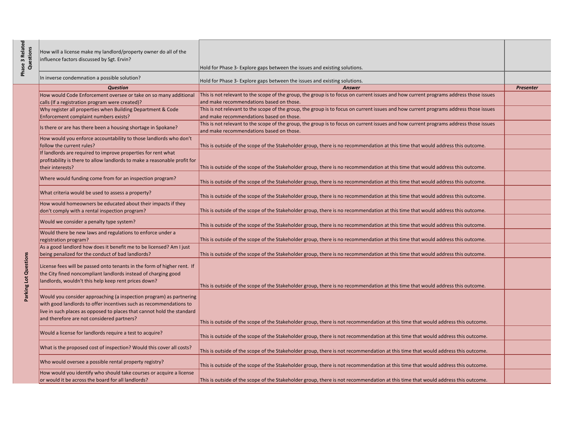| In inverse condemnation a possible solution?<br>Hold for Phase 3- Explore gaps between the issues and existing solutions.<br><b>Answer</b><br><b>Question</b><br><b>Presenter</b><br>This is not relevant to the scope of the group, the group is to focus on current issues and how current programs address those issues<br>How would Code Enforcement oversee or take on so many additional<br>and make recommendations based on those.<br>calls (If a registration program were created)?<br>Why register all properties when Building Department & Code<br>This is not relevant to the scope of the group, the group is to focus on current issues and how current programs address those issues<br>and make recommendations based on those.<br>Enforcement complaint numbers exists?<br>This is not relevant to the scope of the group, the group is to focus on current issues and how current programs address those issues<br>Is there or are has there been a housing shortage in Spokane?<br>and make recommendations based on those.<br>How would you enforce accountability to those landlords who don't<br>follow the current rules?<br>This is outside of the scope of the Stakeholder group, there is no recommendation at this time that would address this outcome.<br>If landlords are required to improve properties for rent what<br>profitability is there to allow landlords to make a reasonable profit for<br>This is outside of the scope of the Stakeholder group, there is no recommendation at this time that would address this outcome.<br>their interests?<br>Where would funding come from for an inspection program?<br>This is outside of the scope of the Stakeholder group, there is no recommendation at this time that would address this outcome.<br>What criteria would be used to assess a property?<br>This is outside of the scope of the Stakeholder group, there is no recommendation at this time that would address this outcome.<br>How would homeowners be educated about their impacts if they<br>This is outside of the scope of the Stakeholder group, there is no recommendation at this time that would address this outcome.<br>don't comply with a rental inspection program?<br>Would we consider a penalty type system?<br>This is outside of the scope of the Stakeholder group, there is no recommendation at this time that would address this outcome.<br>Would there be new laws and regulations to enforce under a<br>This is outside of the scope of the Stakeholder group, there is no recommendation at this time that would address this outcome.<br>registration program?<br>As a good landlord how does it benefit me to be licensed? Am I just<br>being penalized for the conduct of bad landlords?<br>This is outside of the scope of the Stakeholder group, there is no recommendation at this time that would address this outcome.<br>Parking Lot Questions<br>License fees will be passed onto tenants in the form of higher rent. If<br>the City fined noncompliant landlords instead of charging good<br>landlords, wouldn't this help keep rent prices down?<br>This is outside of the scope of the Stakeholder group, there is no recommendation at this time that would address this outcome.<br>Would you consider approaching (a inspection program) as partnering<br>with good landlords to offer incentives such as recommendations to<br>live in such places as opposed to places that cannot hold the standard<br>and therefore are not considered partners?<br>This is outside of the scope of the Stakeholder group, there is not recommendation at this time that would address this outcome.<br>Would a license for landlords require a test to acquire?<br>This is outside of the scope of the Stakeholder group, there is not recommendation at this time that would address this outcome.<br>What is the proposed cost of inspection? Would this cover all costs?<br>This is outside of the scope of the Stakeholder group, there is not recommendation at this time that would address this outcome.<br>Who would oversee a possible rental property registry?<br>This is outside of the scope of the Stakeholder group, there is not recommendation at this time that would address this outcome. | Questions | How will a license make my landlord/property owner do all of the<br>influence factors discussed by Sgt. Ervin? | Hold for Phase 3- Explore gaps between the issues and existing solutions. |  |
|----------------------------------------------------------------------------------------------------------------------------------------------------------------------------------------------------------------------------------------------------------------------------------------------------------------------------------------------------------------------------------------------------------------------------------------------------------------------------------------------------------------------------------------------------------------------------------------------------------------------------------------------------------------------------------------------------------------------------------------------------------------------------------------------------------------------------------------------------------------------------------------------------------------------------------------------------------------------------------------------------------------------------------------------------------------------------------------------------------------------------------------------------------------------------------------------------------------------------------------------------------------------------------------------------------------------------------------------------------------------------------------------------------------------------------------------------------------------------------------------------------------------------------------------------------------------------------------------------------------------------------------------------------------------------------------------------------------------------------------------------------------------------------------------------------------------------------------------------------------------------------------------------------------------------------------------------------------------------------------------------------------------------------------------------------------------------------------------------------------------------------------------------------------------------------------------------------------------------------------------------------------------------------------------------------------------------------------------------------------------------------------------------------------------------------------------------------------------------------------------------------------------------------------------------------------------------------------------------------------------------------------------------------------------------------------------------------------------------------------------------------------------------------------------------------------------------------------------------------------------------------------------------------------------------------------------------------------------------------------------------------------------------------------------------------------------------------------------------------------------------------------------------------------------------------------------------------------------------------------------------------------------------------------------------------------------------------------------------------------------------------------------------------------------------------------------------------------------------------------------------------------------------------------------------------------------------------------------------------------------------------------------------------------------------------------------------------------------------------------------------------------------------------------------------------------------------------------------------------------------------------------------------------------------------------------------------------------------------------------------------------------------------------------------------------------------------------------------------------------------------------------------------------------------------------------------------------------------------------------------------------------------------------------------------|-----------|----------------------------------------------------------------------------------------------------------------|---------------------------------------------------------------------------|--|
|                                                                                                                                                                                                                                                                                                                                                                                                                                                                                                                                                                                                                                                                                                                                                                                                                                                                                                                                                                                                                                                                                                                                                                                                                                                                                                                                                                                                                                                                                                                                                                                                                                                                                                                                                                                                                                                                                                                                                                                                                                                                                                                                                                                                                                                                                                                                                                                                                                                                                                                                                                                                                                                                                                                                                                                                                                                                                                                                                                                                                                                                                                                                                                                                                                                                                                                                                                                                                                                                                                                                                                                                                                                                                                                                                                                                                                                                                                                                                                                                                                                                                                                                                                                                                                                                                                    |           |                                                                                                                |                                                                           |  |
|                                                                                                                                                                                                                                                                                                                                                                                                                                                                                                                                                                                                                                                                                                                                                                                                                                                                                                                                                                                                                                                                                                                                                                                                                                                                                                                                                                                                                                                                                                                                                                                                                                                                                                                                                                                                                                                                                                                                                                                                                                                                                                                                                                                                                                                                                                                                                                                                                                                                                                                                                                                                                                                                                                                                                                                                                                                                                                                                                                                                                                                                                                                                                                                                                                                                                                                                                                                                                                                                                                                                                                                                                                                                                                                                                                                                                                                                                                                                                                                                                                                                                                                                                                                                                                                                                                    |           |                                                                                                                |                                                                           |  |
|                                                                                                                                                                                                                                                                                                                                                                                                                                                                                                                                                                                                                                                                                                                                                                                                                                                                                                                                                                                                                                                                                                                                                                                                                                                                                                                                                                                                                                                                                                                                                                                                                                                                                                                                                                                                                                                                                                                                                                                                                                                                                                                                                                                                                                                                                                                                                                                                                                                                                                                                                                                                                                                                                                                                                                                                                                                                                                                                                                                                                                                                                                                                                                                                                                                                                                                                                                                                                                                                                                                                                                                                                                                                                                                                                                                                                                                                                                                                                                                                                                                                                                                                                                                                                                                                                                    |           |                                                                                                                |                                                                           |  |
|                                                                                                                                                                                                                                                                                                                                                                                                                                                                                                                                                                                                                                                                                                                                                                                                                                                                                                                                                                                                                                                                                                                                                                                                                                                                                                                                                                                                                                                                                                                                                                                                                                                                                                                                                                                                                                                                                                                                                                                                                                                                                                                                                                                                                                                                                                                                                                                                                                                                                                                                                                                                                                                                                                                                                                                                                                                                                                                                                                                                                                                                                                                                                                                                                                                                                                                                                                                                                                                                                                                                                                                                                                                                                                                                                                                                                                                                                                                                                                                                                                                                                                                                                                                                                                                                                                    |           |                                                                                                                |                                                                           |  |
|                                                                                                                                                                                                                                                                                                                                                                                                                                                                                                                                                                                                                                                                                                                                                                                                                                                                                                                                                                                                                                                                                                                                                                                                                                                                                                                                                                                                                                                                                                                                                                                                                                                                                                                                                                                                                                                                                                                                                                                                                                                                                                                                                                                                                                                                                                                                                                                                                                                                                                                                                                                                                                                                                                                                                                                                                                                                                                                                                                                                                                                                                                                                                                                                                                                                                                                                                                                                                                                                                                                                                                                                                                                                                                                                                                                                                                                                                                                                                                                                                                                                                                                                                                                                                                                                                                    |           |                                                                                                                |                                                                           |  |
|                                                                                                                                                                                                                                                                                                                                                                                                                                                                                                                                                                                                                                                                                                                                                                                                                                                                                                                                                                                                                                                                                                                                                                                                                                                                                                                                                                                                                                                                                                                                                                                                                                                                                                                                                                                                                                                                                                                                                                                                                                                                                                                                                                                                                                                                                                                                                                                                                                                                                                                                                                                                                                                                                                                                                                                                                                                                                                                                                                                                                                                                                                                                                                                                                                                                                                                                                                                                                                                                                                                                                                                                                                                                                                                                                                                                                                                                                                                                                                                                                                                                                                                                                                                                                                                                                                    |           |                                                                                                                |                                                                           |  |
|                                                                                                                                                                                                                                                                                                                                                                                                                                                                                                                                                                                                                                                                                                                                                                                                                                                                                                                                                                                                                                                                                                                                                                                                                                                                                                                                                                                                                                                                                                                                                                                                                                                                                                                                                                                                                                                                                                                                                                                                                                                                                                                                                                                                                                                                                                                                                                                                                                                                                                                                                                                                                                                                                                                                                                                                                                                                                                                                                                                                                                                                                                                                                                                                                                                                                                                                                                                                                                                                                                                                                                                                                                                                                                                                                                                                                                                                                                                                                                                                                                                                                                                                                                                                                                                                                                    |           |                                                                                                                |                                                                           |  |
|                                                                                                                                                                                                                                                                                                                                                                                                                                                                                                                                                                                                                                                                                                                                                                                                                                                                                                                                                                                                                                                                                                                                                                                                                                                                                                                                                                                                                                                                                                                                                                                                                                                                                                                                                                                                                                                                                                                                                                                                                                                                                                                                                                                                                                                                                                                                                                                                                                                                                                                                                                                                                                                                                                                                                                                                                                                                                                                                                                                                                                                                                                                                                                                                                                                                                                                                                                                                                                                                                                                                                                                                                                                                                                                                                                                                                                                                                                                                                                                                                                                                                                                                                                                                                                                                                                    |           |                                                                                                                |                                                                           |  |
|                                                                                                                                                                                                                                                                                                                                                                                                                                                                                                                                                                                                                                                                                                                                                                                                                                                                                                                                                                                                                                                                                                                                                                                                                                                                                                                                                                                                                                                                                                                                                                                                                                                                                                                                                                                                                                                                                                                                                                                                                                                                                                                                                                                                                                                                                                                                                                                                                                                                                                                                                                                                                                                                                                                                                                                                                                                                                                                                                                                                                                                                                                                                                                                                                                                                                                                                                                                                                                                                                                                                                                                                                                                                                                                                                                                                                                                                                                                                                                                                                                                                                                                                                                                                                                                                                                    |           |                                                                                                                |                                                                           |  |
|                                                                                                                                                                                                                                                                                                                                                                                                                                                                                                                                                                                                                                                                                                                                                                                                                                                                                                                                                                                                                                                                                                                                                                                                                                                                                                                                                                                                                                                                                                                                                                                                                                                                                                                                                                                                                                                                                                                                                                                                                                                                                                                                                                                                                                                                                                                                                                                                                                                                                                                                                                                                                                                                                                                                                                                                                                                                                                                                                                                                                                                                                                                                                                                                                                                                                                                                                                                                                                                                                                                                                                                                                                                                                                                                                                                                                                                                                                                                                                                                                                                                                                                                                                                                                                                                                                    |           |                                                                                                                |                                                                           |  |
|                                                                                                                                                                                                                                                                                                                                                                                                                                                                                                                                                                                                                                                                                                                                                                                                                                                                                                                                                                                                                                                                                                                                                                                                                                                                                                                                                                                                                                                                                                                                                                                                                                                                                                                                                                                                                                                                                                                                                                                                                                                                                                                                                                                                                                                                                                                                                                                                                                                                                                                                                                                                                                                                                                                                                                                                                                                                                                                                                                                                                                                                                                                                                                                                                                                                                                                                                                                                                                                                                                                                                                                                                                                                                                                                                                                                                                                                                                                                                                                                                                                                                                                                                                                                                                                                                                    |           |                                                                                                                |                                                                           |  |
|                                                                                                                                                                                                                                                                                                                                                                                                                                                                                                                                                                                                                                                                                                                                                                                                                                                                                                                                                                                                                                                                                                                                                                                                                                                                                                                                                                                                                                                                                                                                                                                                                                                                                                                                                                                                                                                                                                                                                                                                                                                                                                                                                                                                                                                                                                                                                                                                                                                                                                                                                                                                                                                                                                                                                                                                                                                                                                                                                                                                                                                                                                                                                                                                                                                                                                                                                                                                                                                                                                                                                                                                                                                                                                                                                                                                                                                                                                                                                                                                                                                                                                                                                                                                                                                                                                    |           |                                                                                                                |                                                                           |  |
|                                                                                                                                                                                                                                                                                                                                                                                                                                                                                                                                                                                                                                                                                                                                                                                                                                                                                                                                                                                                                                                                                                                                                                                                                                                                                                                                                                                                                                                                                                                                                                                                                                                                                                                                                                                                                                                                                                                                                                                                                                                                                                                                                                                                                                                                                                                                                                                                                                                                                                                                                                                                                                                                                                                                                                                                                                                                                                                                                                                                                                                                                                                                                                                                                                                                                                                                                                                                                                                                                                                                                                                                                                                                                                                                                                                                                                                                                                                                                                                                                                                                                                                                                                                                                                                                                                    |           |                                                                                                                |                                                                           |  |
|                                                                                                                                                                                                                                                                                                                                                                                                                                                                                                                                                                                                                                                                                                                                                                                                                                                                                                                                                                                                                                                                                                                                                                                                                                                                                                                                                                                                                                                                                                                                                                                                                                                                                                                                                                                                                                                                                                                                                                                                                                                                                                                                                                                                                                                                                                                                                                                                                                                                                                                                                                                                                                                                                                                                                                                                                                                                                                                                                                                                                                                                                                                                                                                                                                                                                                                                                                                                                                                                                                                                                                                                                                                                                                                                                                                                                                                                                                                                                                                                                                                                                                                                                                                                                                                                                                    |           |                                                                                                                |                                                                           |  |
|                                                                                                                                                                                                                                                                                                                                                                                                                                                                                                                                                                                                                                                                                                                                                                                                                                                                                                                                                                                                                                                                                                                                                                                                                                                                                                                                                                                                                                                                                                                                                                                                                                                                                                                                                                                                                                                                                                                                                                                                                                                                                                                                                                                                                                                                                                                                                                                                                                                                                                                                                                                                                                                                                                                                                                                                                                                                                                                                                                                                                                                                                                                                                                                                                                                                                                                                                                                                                                                                                                                                                                                                                                                                                                                                                                                                                                                                                                                                                                                                                                                                                                                                                                                                                                                                                                    |           |                                                                                                                |                                                                           |  |
|                                                                                                                                                                                                                                                                                                                                                                                                                                                                                                                                                                                                                                                                                                                                                                                                                                                                                                                                                                                                                                                                                                                                                                                                                                                                                                                                                                                                                                                                                                                                                                                                                                                                                                                                                                                                                                                                                                                                                                                                                                                                                                                                                                                                                                                                                                                                                                                                                                                                                                                                                                                                                                                                                                                                                                                                                                                                                                                                                                                                                                                                                                                                                                                                                                                                                                                                                                                                                                                                                                                                                                                                                                                                                                                                                                                                                                                                                                                                                                                                                                                                                                                                                                                                                                                                                                    |           |                                                                                                                |                                                                           |  |
|                                                                                                                                                                                                                                                                                                                                                                                                                                                                                                                                                                                                                                                                                                                                                                                                                                                                                                                                                                                                                                                                                                                                                                                                                                                                                                                                                                                                                                                                                                                                                                                                                                                                                                                                                                                                                                                                                                                                                                                                                                                                                                                                                                                                                                                                                                                                                                                                                                                                                                                                                                                                                                                                                                                                                                                                                                                                                                                                                                                                                                                                                                                                                                                                                                                                                                                                                                                                                                                                                                                                                                                                                                                                                                                                                                                                                                                                                                                                                                                                                                                                                                                                                                                                                                                                                                    |           |                                                                                                                |                                                                           |  |
|                                                                                                                                                                                                                                                                                                                                                                                                                                                                                                                                                                                                                                                                                                                                                                                                                                                                                                                                                                                                                                                                                                                                                                                                                                                                                                                                                                                                                                                                                                                                                                                                                                                                                                                                                                                                                                                                                                                                                                                                                                                                                                                                                                                                                                                                                                                                                                                                                                                                                                                                                                                                                                                                                                                                                                                                                                                                                                                                                                                                                                                                                                                                                                                                                                                                                                                                                                                                                                                                                                                                                                                                                                                                                                                                                                                                                                                                                                                                                                                                                                                                                                                                                                                                                                                                                                    |           |                                                                                                                |                                                                           |  |
|                                                                                                                                                                                                                                                                                                                                                                                                                                                                                                                                                                                                                                                                                                                                                                                                                                                                                                                                                                                                                                                                                                                                                                                                                                                                                                                                                                                                                                                                                                                                                                                                                                                                                                                                                                                                                                                                                                                                                                                                                                                                                                                                                                                                                                                                                                                                                                                                                                                                                                                                                                                                                                                                                                                                                                                                                                                                                                                                                                                                                                                                                                                                                                                                                                                                                                                                                                                                                                                                                                                                                                                                                                                                                                                                                                                                                                                                                                                                                                                                                                                                                                                                                                                                                                                                                                    |           |                                                                                                                |                                                                           |  |
|                                                                                                                                                                                                                                                                                                                                                                                                                                                                                                                                                                                                                                                                                                                                                                                                                                                                                                                                                                                                                                                                                                                                                                                                                                                                                                                                                                                                                                                                                                                                                                                                                                                                                                                                                                                                                                                                                                                                                                                                                                                                                                                                                                                                                                                                                                                                                                                                                                                                                                                                                                                                                                                                                                                                                                                                                                                                                                                                                                                                                                                                                                                                                                                                                                                                                                                                                                                                                                                                                                                                                                                                                                                                                                                                                                                                                                                                                                                                                                                                                                                                                                                                                                                                                                                                                                    |           |                                                                                                                |                                                                           |  |
|                                                                                                                                                                                                                                                                                                                                                                                                                                                                                                                                                                                                                                                                                                                                                                                                                                                                                                                                                                                                                                                                                                                                                                                                                                                                                                                                                                                                                                                                                                                                                                                                                                                                                                                                                                                                                                                                                                                                                                                                                                                                                                                                                                                                                                                                                                                                                                                                                                                                                                                                                                                                                                                                                                                                                                                                                                                                                                                                                                                                                                                                                                                                                                                                                                                                                                                                                                                                                                                                                                                                                                                                                                                                                                                                                                                                                                                                                                                                                                                                                                                                                                                                                                                                                                                                                                    |           |                                                                                                                |                                                                           |  |
|                                                                                                                                                                                                                                                                                                                                                                                                                                                                                                                                                                                                                                                                                                                                                                                                                                                                                                                                                                                                                                                                                                                                                                                                                                                                                                                                                                                                                                                                                                                                                                                                                                                                                                                                                                                                                                                                                                                                                                                                                                                                                                                                                                                                                                                                                                                                                                                                                                                                                                                                                                                                                                                                                                                                                                                                                                                                                                                                                                                                                                                                                                                                                                                                                                                                                                                                                                                                                                                                                                                                                                                                                                                                                                                                                                                                                                                                                                                                                                                                                                                                                                                                                                                                                                                                                                    |           |                                                                                                                |                                                                           |  |
| or would it be across the board for all landlords?<br>This is outside of the scope of the Stakeholder group, there is not recommendation at this time that would address this outcome.                                                                                                                                                                                                                                                                                                                                                                                                                                                                                                                                                                                                                                                                                                                                                                                                                                                                                                                                                                                                                                                                                                                                                                                                                                                                                                                                                                                                                                                                                                                                                                                                                                                                                                                                                                                                                                                                                                                                                                                                                                                                                                                                                                                                                                                                                                                                                                                                                                                                                                                                                                                                                                                                                                                                                                                                                                                                                                                                                                                                                                                                                                                                                                                                                                                                                                                                                                                                                                                                                                                                                                                                                                                                                                                                                                                                                                                                                                                                                                                                                                                                                                             |           | How would you identify who should take courses or acquire a license                                            |                                                                           |  |

**Phase 3 Related**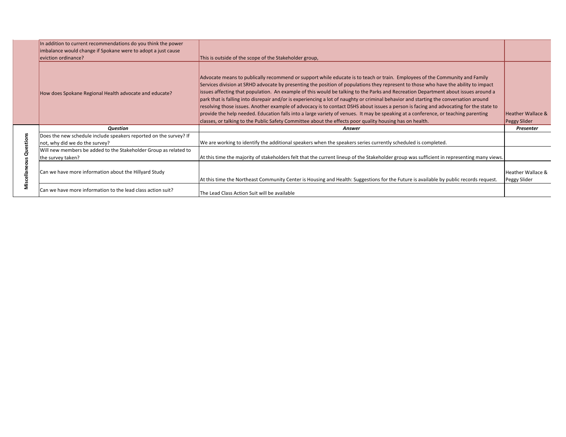|                         | In addition to current recommendations do you think the power     |                                                                                                                                                                                                                                                                    |                                   |
|-------------------------|-------------------------------------------------------------------|--------------------------------------------------------------------------------------------------------------------------------------------------------------------------------------------------------------------------------------------------------------------|-----------------------------------|
|                         | imbalance would change if Spokane were to adopt a just cause      |                                                                                                                                                                                                                                                                    |                                   |
|                         | eviction ordinance?                                               | This is outside of the scope of the Stakeholder group,                                                                                                                                                                                                             |                                   |
|                         |                                                                   | Advocate means to publically recommend or support while educate is to teach or train. Employees of the Community and Family<br>Services division at SRHD advocate by presenting the position of populations they represent to those who have the ability to impact |                                   |
|                         | How does Spokane Regional Health advocate and educate?            | issues affecting that population. An example of this would be talking to the Parks and Recreation Department about issues around a                                                                                                                                 |                                   |
|                         |                                                                   | park that is falling into disrepair and/or is experiencing a lot of naughty or criminal behavior and starting the conversation around                                                                                                                              |                                   |
|                         |                                                                   | resolving those issues. Another example of advocacy is to contact DSHS about issues a person is facing and advocating for the state to                                                                                                                             |                                   |
|                         |                                                                   | provide the help needed. Education falls into a large variety of venues. It may be speaking at a conference, or teaching parenting                                                                                                                                 | <b>Heather Wallace &amp;</b>      |
|                         |                                                                   |                                                                                                                                                                                                                                                                    |                                   |
|                         | Question                                                          | classes, or talking to the Public Safety Committee about the effects poor quality housing has on health.<br>Answer                                                                                                                                                 | Peggy Slider<br>Presenter         |
|                         | Does the new schedule include speakers reported on the survey? If |                                                                                                                                                                                                                                                                    |                                   |
|                         | not, why did we do the survey?                                    | We are working to identify the additional speakers when the speakers series currently scheduled is completed.                                                                                                                                                      |                                   |
|                         | Will new members be added to the Stakeholder Group as related to  |                                                                                                                                                                                                                                                                    |                                   |
|                         | the survey taken?                                                 | At this time the majority of stakeholders felt that the current lineup of the Stakeholder group was sufficient in representing many views.                                                                                                                         |                                   |
| Miscellaneous Questions | Can we have more information about the Hillyard Study             | At this time the Northeast Community Center is Housing and Health: Suggestions for the Future is available by public records request.                                                                                                                              | Heather Wallace &<br>Peggy Slider |